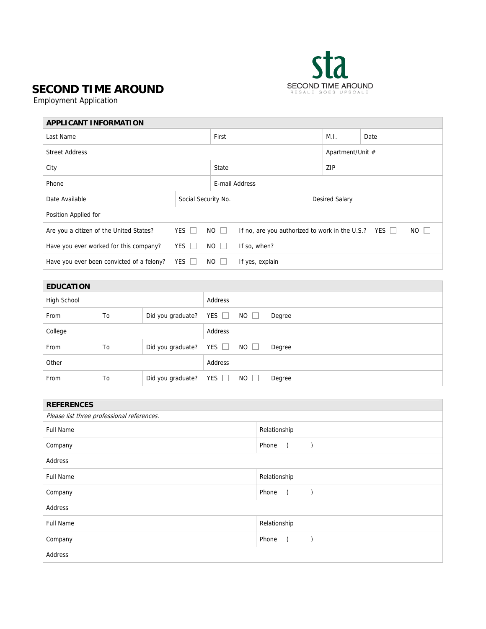

## **SECOND TIME AROUND**

Employment Application

| <b>APPLICANT INFORMATION</b>              |                     |             |                                                                          |  |                |      |  |  |  |
|-------------------------------------------|---------------------|-------------|--------------------------------------------------------------------------|--|----------------|------|--|--|--|
| Last Name                                 |                     |             | First                                                                    |  |                | Date |  |  |  |
| <b>Street Address</b>                     |                     |             | Apartment/Unit #                                                         |  |                |      |  |  |  |
| City                                      |                     |             | State                                                                    |  |                | ZIP  |  |  |  |
| Phone                                     |                     |             | E-mail Address                                                           |  |                |      |  |  |  |
| Date Available                            | Social Security No. |             |                                                                          |  | Desired Salary |      |  |  |  |
| Position Applied for                      |                     |             |                                                                          |  |                |      |  |  |  |
| Are you a citizen of the United States?   | YES $\Box$          | $NO \Box$   | $NO$ $\Box$<br>If no, are you authorized to work in the U.S.? YES $\Box$ |  |                |      |  |  |  |
| Have you ever worked for this company?    | YES $\Box$          | $NO$ $\Box$ | If so, when?                                                             |  |                |      |  |  |  |
| Have you ever been convicted of a felony? | YES I               | $NO$ $ $    | If yes, explain                                                          |  |                |      |  |  |  |

| <b>EDUCATION</b> |    |                              |            |             |        |
|------------------|----|------------------------------|------------|-------------|--------|
| High School      |    |                              | Address    |             |        |
| From             | To | Did you graduate?            | YES $\Box$ | $NO$ $\Box$ | Degree |
| College          |    |                              | Address    |             |        |
| From             | To | Did you graduate? YES $\Box$ |            | $NO$ $\Box$ | Degree |
| Other            |    |                              | Address    |             |        |
| From             | To | Did you graduate?            | YES $\Box$ | $NO$ $\Box$ | Degree |

| <b>REFERENCES</b>                          |                                                                       |  |  |  |  |  |
|--------------------------------------------|-----------------------------------------------------------------------|--|--|--|--|--|
| Please list three professional references. |                                                                       |  |  |  |  |  |
| <b>Full Name</b>                           | Relationship                                                          |  |  |  |  |  |
| Company                                    | Phone<br>$\sqrt{2}$<br>$\left( \begin{array}{cc} \end{array} \right)$ |  |  |  |  |  |
| Address                                    |                                                                       |  |  |  |  |  |
| <b>Full Name</b>                           | Relationship                                                          |  |  |  |  |  |
| Company                                    | Phone<br>$\sqrt{2}$<br>$\rightarrow$                                  |  |  |  |  |  |
| Address                                    |                                                                       |  |  |  |  |  |
| <b>Full Name</b>                           | Relationship                                                          |  |  |  |  |  |
| Company                                    | Phone                                                                 |  |  |  |  |  |
| Address                                    |                                                                       |  |  |  |  |  |